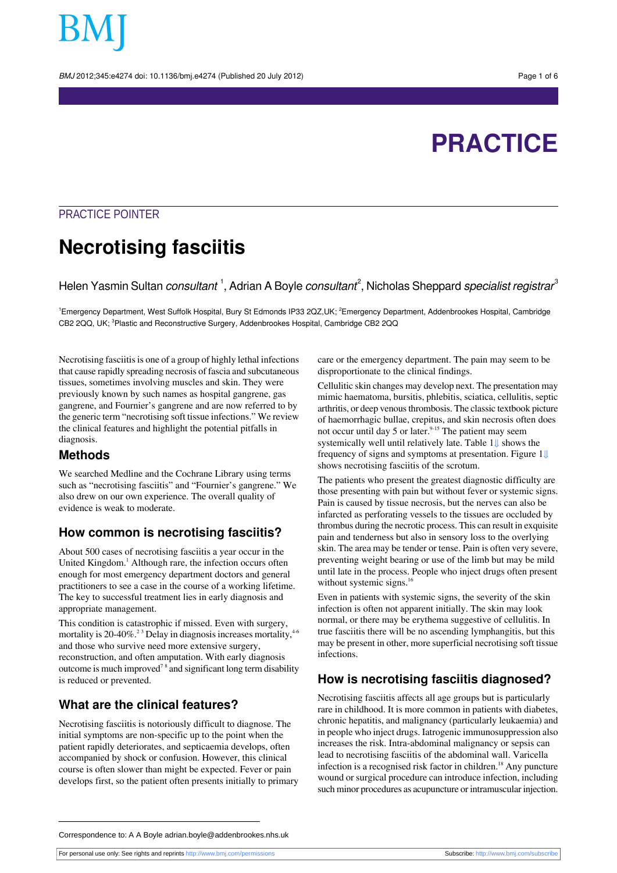BMJ 2012;345:e4274 doi: 10.1136/bmj.e4274 (Published 20 July 2012) Page 1 of 6

# **PRACTICE**

#### PRACTICE POINTER

## **Necrotising fasciitis**

Helen Yasmin Sultan *consultant <sup>1</sup>, A*drian A Boyle *consultant<sup>2</sup>,* Nicholas Sheppard *specialist registrar<sup>3</sup>* 

<sup>1</sup>Emergency Department, West Suffolk Hospital, Bury St Edmonds IP33 2QZ,UK; <sup>2</sup>Emergency Department, Addenbrookes Hospital, Cambridge CB2 2QQ, UK; <sup>3</sup>Plastic and Reconstructive Surgery, Addenbrookes Hospital, Cambridge CB2 2QQ

Necrotising fasciitisis one of a group of highly lethal infections that cause rapidly spreading necrosis of fascia and subcutaneous tissues, sometimes involving muscles and skin. They were previously known by such names as hospital gangrene, gas gangrene, and Fournier's gangrene and are now referred to by the generic term "necrotising soft tissue infections." We review the clinical features and highlight the potential pitfalls in diagnosis.

#### **Methods**

We searched Medline and the Cochrane Library using terms such as "necrotising fasciitis" and "Fournier's gangrene." We also drew on our own experience. The overall quality of evidence is weak to moderate.

#### **How common is necrotising fasciitis?**

About 500 cases of necrotising fasciitis a year occur in the United Kingdom.<sup>1</sup> Although rare, the infection occurs often enough for most emergency department doctors and general practitioners to see a case in the course of a working lifetime. The key to successful treatment lies in early diagnosis and appropriate management.

This condition is catastrophic if missed. Even with surgery, mortality is 20-40%.<sup>23</sup> Delay in diagnosis increases mortality,<sup>46</sup> and those who survive need more extensive surgery, reconstruction, and often amputation. With early diagnosis outcome is much improved<sup>78</sup> and significant long term disability is reduced or prevented.

#### **What are the clinical features?**

Necrotising fasciitis is notoriously difficult to diagnose. The initial symptoms are non-specific up to the point when the patient rapidly deteriorates, and septicaemia develops, often accompanied by shock or confusion. However, this clinical course is often slower than might be expected. Fever or pain develops first, so the patient often presents initially to primary care or the emergency department. The pain may seem to be disproportionate to the clinical findings.

Cellulitic skin changes may develop next. The presentation may mimic haematoma, bursitis, phlebitis, sciatica, cellulitis, septic arthritis, or deep venousthrombosis. The classic textbook picture of haemorrhagic bullae, crepitus, and skin necrosis often does not occur until day 5 or later.<sup>9-15</sup> The patient may seem systemically well until relatively late. Table 1[⇓](#page-3-0) shows the frequency of signs and symptoms at presentation. Figure 1 shows necrotising fasciitis of the scrotum.

The patients who present the greatest diagnostic difficulty are those presenting with pain but without fever or systemic signs. Pain is caused by tissue necrosis, but the nerves can also be infarcted as perforating vessels to the tissues are occluded by thrombus during the necrotic process. This can result in exquisite pain and tenderness but also in sensory loss to the overlying skin. The area may be tender or tense. Pain is often very severe, preventing weight bearing or use of the limb but may be mild until late in the process. People who inject drugs often present without systemic signs.<sup>16</sup>

Even in patients with systemic signs, the severity of the skin infection is often not apparent initially. The skin may look normal, or there may be erythema suggestive of cellulitis. In true fasciitis there will be no ascending lymphangitis, but this may be present in other, more superficial necrotising soft tissue infections.

#### **How is necrotising fasciitis diagnosed?**

Necrotising fasciitis affects all age groups but is particularly rare in childhood. It is more common in patients with diabetes, chronic hepatitis, and malignancy (particularly leukaemia) and in people who inject drugs. Iatrogenic immunosuppression also increases the risk. Intra-abdominal malignancy or sepsis can lead to necrotising fasciitis of the abdominal wall. Varicella infection is a recognised risk factor in children.<sup>18</sup> Any puncture wound or surgical procedure can introduce infection, including such minor procedures as acupuncture or intramuscular injection.

Correspondence to: A A Boyle adrian.boyle@addenbrookes.nhs.uk

For personal use only: See rights and reprints<http://www.bmj.com/permissions> Subscribe: <http://www.bmj.com/subscribe>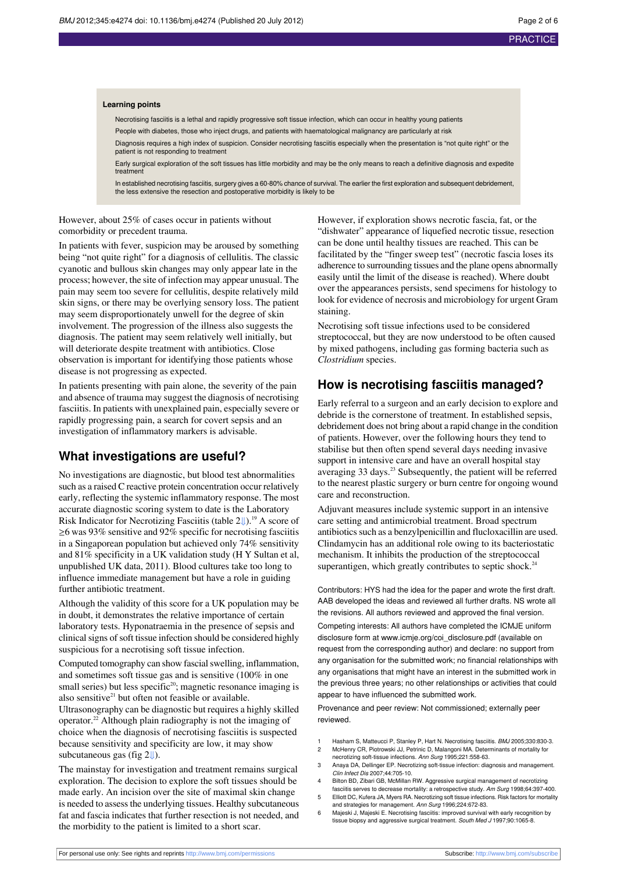#### **Learning points**

Necrotising fasciitis is a lethal and rapidly progressive soft tissue infection, which can occur in healthy young patients

People with diabetes, those who inject drugs, and patients with haematological malignancy are particularly at risk

Diagnosis requires a high index of suspicion. Consider necrotising fasciitis especially when the presentation is "not quite right" or the patient is not responding to treatment

Early surgical exploration of the soft tissues has little morbidity and may be the only means to reach a definitive diagnosis and expedite treatment

In established necrotising fasciitis, surgery gives a 60-80% chance of survival. The earlier the first exploration and subsequent debridement, the less extensive the resection and postoperative morbidity is likely to be

#### However, about 25% of cases occur in patients without comorbidity or precedent trauma.

In patients with fever, suspicion may be aroused by something being "not quite right" for a diagnosis of cellulitis. The classic cyanotic and bullous skin changes may only appear late in the process; however, the site of infection may appear unusual. The pain may seem too severe for cellulitis, despite relatively mild skin signs, or there may be overlying sensory loss. The patient may seem disproportionately unwell for the degree of skin involvement. The progression of the illness also suggests the diagnosis. The patient may seem relatively well initially, but will deteriorate despite treatment with antibiotics. Close observation is important for identifying those patients whose disease is not progressing as expected.

In patients presenting with pain alone, the severity of the pain and absence of trauma may suggest the diagnosis of necrotising fasciitis. In patients with unexplained pain, especially severe or rapidly progressing pain, a search for covert sepsis and an investigation of inflammatory markers is advisable.

#### **What investigations are useful?**

No investigations are diagnostic, but blood test abnormalities such as a raised C reactive protein concentration occur relatively early, reflecting the systemic inflammatory response. The most accurate diagnostic scoring system to date is the Laboratory Risk Indicator for Necrotizing Fasciitis (table  $2\left\| \right\|$ ).<sup>19</sup> A score of ≥6 was 93% sensitive and 92% specific for necrotising fasciitis in a Singaporean population but achieved only 74% sensitivity and 81% specificity in a UK validation study (H Y Sultan et al, unpublished UK data, 2011). Blood cultures take too long to influence immediate management but have a role in guiding further antibiotic treatment.

Although the validity of this score for a UK population may be in doubt, it demonstrates the relative importance of certain laboratory tests. Hyponatraemia in the presence of sepsis and clinical signs of soft tissue infection should be considered highly suspicious for a necrotising soft tissue infection.

Computed tomography can show fascial swelling, inflammation, and sometimes soft tissue gas and is sensitive (100% in one small series) but less specific<sup>20</sup>; magnetic resonance imaging is also sensitive $21$  but often not feasible or available. Ultrasonography can be diagnostic but requires a highly skilled operator.<sup>22</sup> Although plain radiography is not the imaging of choice when the diagnosis of necrotising fasciitis is suspected because sensitivity and specificity are low, it may show subcutaneous gas (fig [2⇓](#page-5-1)).

The mainstay for investigation and treatment remains surgical exploration. The decision to explore the soft tissues should be made early. An incision over the site of maximal skin change is needed to assess the underlying tissues. Healthy subcutaneous fat and fascia indicates that further resection is not needed, and the morbidity to the patient is limited to a short scar.

However, if exploration shows necrotic fascia, fat, or the "dishwater" appearance of liquefied necrotic tissue, resection can be done until healthy tissues are reached. This can be facilitated by the "finger sweep test" (necrotic fascia loses its adherence to surrounding tissues and the plane opens abnormally easily until the limit of the disease is reached). Where doubt over the appearances persists, send specimens for histology to look for evidence of necrosis and microbiology for urgent Gram staining.

Necrotising soft tissue infections used to be considered streptococcal, but they are now understood to be often caused by mixed pathogens, including gas forming bacteria such as *Clostridium* species.

#### **How is necrotising fasciitis managed?**

Early referral to a surgeon and an early decision to explore and debride is the cornerstone of treatment. In established sepsis, debridement does not bring about a rapid change in the condition of patients. However, over the following hours they tend to stabilise but then often spend several days needing invasive support in intensive care and have an overall hospital stay averaging 33 days.<sup>23</sup> Subsequently, the patient will be referred to the nearest plastic surgery or burn centre for ongoing wound care and reconstruction.

Adjuvant measures include systemic support in an intensive care setting and antimicrobial treatment. Broad spectrum antibiotics such as a benzylpenicillin and flucloxacillin are used. Clindamycin has an additional role owing to its bacteriostatic mechanism. It inhibits the production of the streptococcal superantigen, which greatly contributes to septic shock. $24$ 

Contributors: HYS had the idea for the paper and wrote the first draft. AAB developed the ideas and reviewed all further drafts. NS wrote all the revisions. All authors reviewed and approved the final version. Competing interests: All authors have completed the ICMJE uniform disclosure form at [www.icmje.org/coi\\_disclosure.pdf](http://www.icmje.org/coi_disclosure.pdf) (available on request from the corresponding author) and declare: no support from any organisation for the submitted work; no financial relationships with any organisations that might have an interest in the submitted work in the previous three years; no other relationships or activities that could appear to have influenced the submitted work.

Provenance and peer review: Not commissioned; externally peer reviewed.

- Hasham S, Matteucci P, Stanley P, Hart N. Necrotising fasciitis. BMJ 2005;330:830-3. 2 McHenry CR, Piotrowski JJ, Petrinic D, Malangoni MA. Determinants of mortality for
- necrotizing soft-tissue infections. Ann Surg 1995;221:558-63.
- 3 Anaya DA, Dellinger EP. Necrotizing soft-tissue infection: diagnosis and management. Clin Infect Dis 2007;44:705-10.
- 4 Bilton BD, Zibari GB, McMillan RW. Aggressive surgical management of necrotizing fasciitis serves to decrease mortality: a retrospective study. Am Surg 1998;64:397-400.
- 5 Elliott DC, Kufera JA, Myers RA. Necrotizing soft tissue infections. Risk factors for mortality and strategies for management. Ann Surg 1996;224:672-83.
- 6 Majeski J, Majeski E. Necrotising fasciitis: improved survival with early recognition by tissue biopsy and aggressive surgical treatment. South Med J 1997;90:1065-8.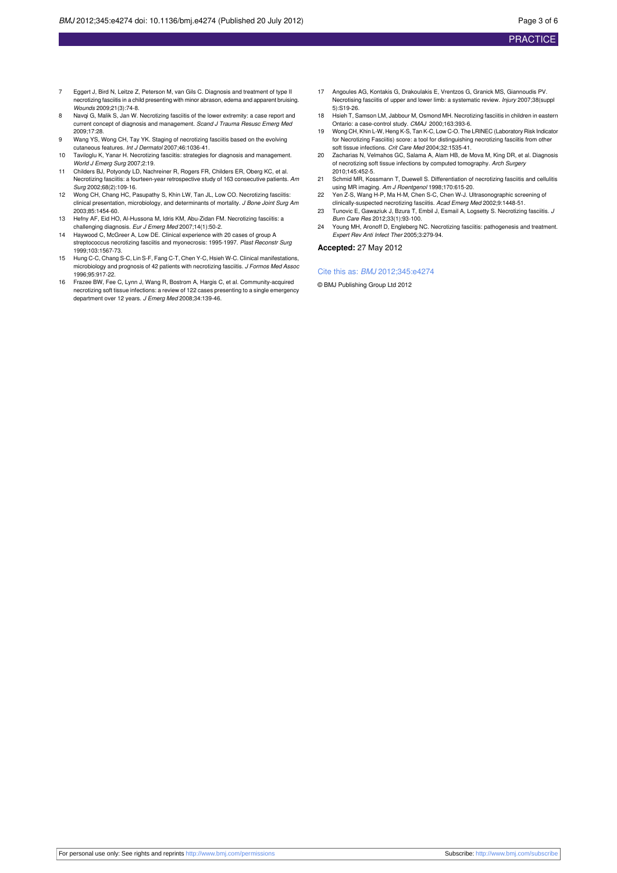- 7 Eggert J, Bird N, Leitze Z, Peterson M, van Gils C. Diagnosis and treatment of type II necrotizing fasciitis in a child presenting with minor abrason, edema and apparent bruising. Wounds 2009;21(3):74-8.
- 8 Navqi G, Malik S, Jan W. Necrotizing fasciitis of the lower extremity: a case report and current concept of diagnosis and management. Scand J Trauma Resusc Emerg Med 2009;17:28.
- 9 Wang YS, Wong CH, Tay YK. Staging of necrotizing fasciitis based on the evolving cutaneous features. Int J Dermatol 2007;46:1036-41.
- 10 Taviloglu K, Yanar H. Necrotizing fasciitis: strategies for diagnosis and management. World J Emerg Surg 2007;2:19.
- 11 Childers BJ, Potyondy LD, Nachreiner R, Rogers FR, Childers ER, Oberg KC, et al. Necrotizing fasciitis: a fourteen-year retrospective study of 163 consecutive patients. Am Surg 2002;68(2):109-16.
- 12 Wong CH, Chang HC, Pasupathy S, Khin LW, Tan JL, Low CO. Necrotizing fasciitis: clinical presentation, microbiology, and determinants of mortality. J Bone Joint Surg Am 2003;85:1454-60.
- 13 Hefny AF, Eid HO, Al-Hussona M, Idris KM, Abu-Zidan FM. Necrotizing fasciitis: a challenging diagnosis. Eur J Emerg Med 2007;14(1):50-2.
- 14 Haywood C, McGreer A, Low DE. Clinical experience with 20 cases of group A streptococcus necrotizing fasciitis and myonecrosis: 1995-1997. Plast Reconstr Surg 1999;103:1567-73.
- 15 Hung C-C, Chang S-C, Lin S-F, Fang C-T, Chen Y-C, Hsieh W-C. Clinical manifestations, microbiology and prognosis of 42 patients with necrotizing fasciitis. J Formos Med Assoc 1996;95:917-22.
- 16 Frazee BW, Fee C, Lynn J, Wang R, Bostrom A, Hargis C, et al. Community-acquired necrotizing soft tissue infections: a review of 122 cases presenting to a single emergency<br>department over 12 years. *J Emerg Med* 2008;34:139-46.
- 17 Angoules AG, Kontakis G, Drakoulakis E, Vrentzos G, Granick MS, Giannoudis PV. Necrotising fasciitis of upper and lower limb: a systematic review. Injury 2007;38(suppl 5):S19-26.
- 18 Hsieh T, Samson LM, Jabbour M, Osmond MH. Necrotizing fasciitis in children in eastern
- Ontario: a case-control study. CMAJ 2000;163:393-6. 19 Wong CH, Khin L-W, Heng K-S, Tan K-C, Low C-O. The LRINEC (Laboratory Risk Indicator for Necrotizing Fasciitis) score: a tool for distinguishing necrotizing fasciitis from other soft tissue infections. Crit Care Med 2004;32:1535-41.
- 20 Zacharias N, Velmahos GC, Salama A, Alam HB, de Mova M, King DR, et al. Diagnosis of necrotizing soft tissue infections by computed tomography. Arch Surgery 2010;145:452-5.
- 21 Schmid MR, Kossmann T, Duewell S. Differentiation of necrotizing fasciitis and cellulitis using MR imaging. Am J Roentgenol 1998;170:615-20.
- 22 Yen Z-S, Wang H-P, Ma H-M, Chen S-C, Chen W-J. Ultrasonographic screening of clinically-suspected necrotizing fasciitis. Acad Emerg Med 2002;9:1448-51.
- 23 Tunovic E, Gawaziuk J, Bzura T, Embil J, Esmail A, Logsetty S. Necrotizing fasciitis. J Burn Care Res 2012;33(1):93-100.
- 24 Young MH, Aronoff D, Engleberg NC. Necrotizing fasciitis: pathogenesis and treatment. Expert Rev Anti Infect Ther 2005;3:279-94.

#### **Accepted:** 27 May 2012

#### Cite this as: BMJ 2012;345:e4274

© BMJ Publishing Group Ltd 2012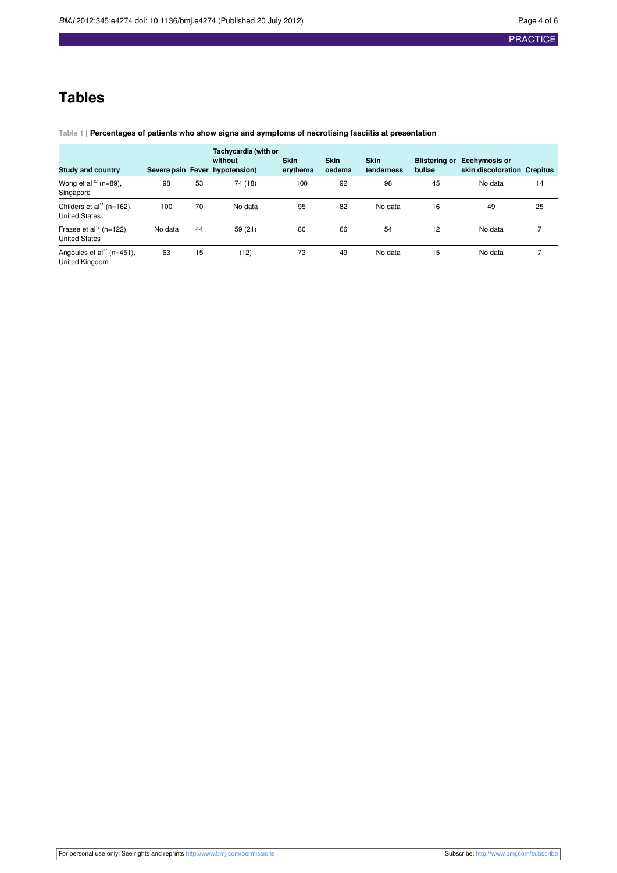## **Tables**

#### <span id="page-3-0"></span>**Table 1 | Percentages of patients who show signs and symptoms of necrotising fasciitis at presentation**

| <b>Study and country</b>                                        |         |    | Tachycardia (with or<br>without<br>Severe pain Fever hypotension) | <b>Skin</b><br>erythema | <b>Skin</b><br>oedema | <b>Skin</b><br>tenderness | <b>Blistering or</b><br>bullae | <b>Ecchymosis or</b><br>skin discoloration Crepitus |    |
|-----------------------------------------------------------------|---------|----|-------------------------------------------------------------------|-------------------------|-----------------------|---------------------------|--------------------------------|-----------------------------------------------------|----|
| Wong et al $12$ (n=89),<br>Singapore                            | 98      | 53 | 74 (18)                                                           | 100                     | 92                    | 98                        | 45                             | No data                                             | 14 |
| Childers et al <sup>11</sup> (n=162),<br><b>United States</b>   | 100     | 70 | No data                                                           | 95                      | 82                    | No data                   | 16                             | 49                                                  | 25 |
| Frazee et al <sup>16</sup> ( $n=122$ ),<br><b>United States</b> | No data | 44 | 59(21)                                                            | 80                      | 66                    | 54                        | 12                             | No data                                             |    |
| Angoules et al <sup>17</sup> (n=451),<br>United Kinadom         | 63      | 15 | (12)                                                              | 73                      | 49                    | No data                   | 15                             | No data                                             |    |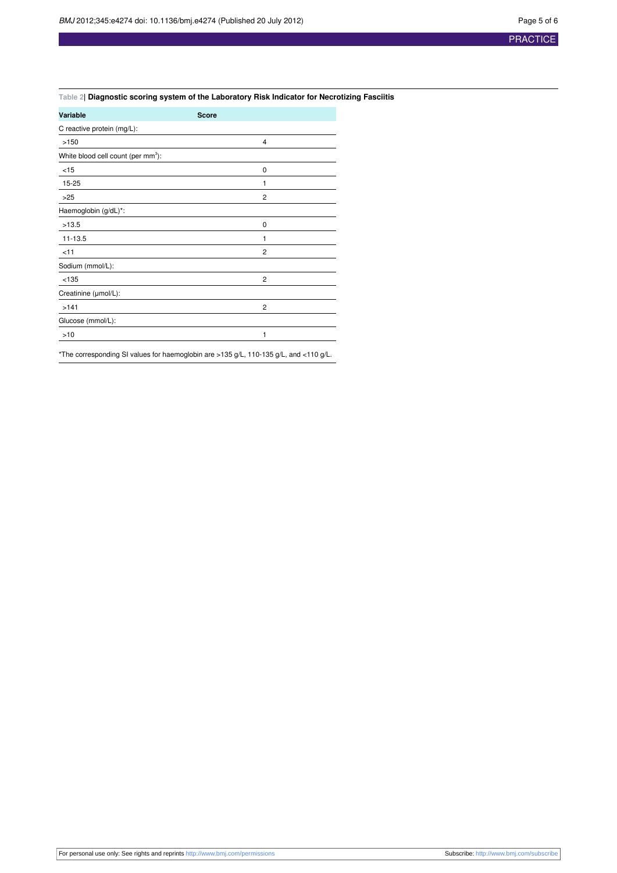#### PRACTICE

#### <span id="page-4-0"></span>**Table 2| Diagnostic scoring system of the Laboratory Risk Indicator for Necrotizing Fasciitis**

| Variable                                       | <b>Score</b> |                |  |
|------------------------------------------------|--------------|----------------|--|
| C reactive protein (mg/L):                     |              |                |  |
| >150                                           |              | 4              |  |
| White blood cell count (per mm <sup>3</sup> ): |              |                |  |
| < 15                                           |              | 0              |  |
| 15-25                                          |              | 1              |  |
| >25                                            |              | $\overline{2}$ |  |
| Haemoglobin (g/dL)*:                           |              |                |  |
| >13.5                                          |              | 0              |  |
| 11-13.5                                        |              | 1              |  |
| $<$ 11                                         |              | $\overline{2}$ |  |
| Sodium (mmol/L):                               |              |                |  |
| < 135                                          |              | $\overline{2}$ |  |
| Creatinine (µmol/L):                           |              |                |  |
| >141                                           |              | $\overline{2}$ |  |
| Glucose (mmol/L):                              |              |                |  |
| >10                                            |              | 1              |  |
|                                                |              |                |  |

\*The corresponding SI values for haemoglobin are >135 g/L, 110-135 g/L, and <110 g/L.